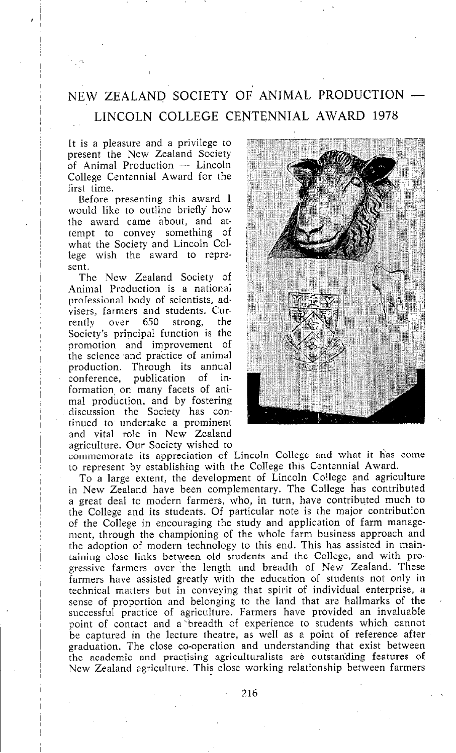## NEW ZEALAND SOCIETY OF ANIMAL PRODUCTION -LINCOLN COLLEGE CENTENNIAL AWARD 1978

It is a pleasure and a privilege to present the New Zealand Society  $of$  Animal Production  $-$  Lincoln College Centennial Award for the first time.

Before presenting this award I would like to outline briefly' how the award came about, and attempt to convey something of what the Societv and Lincoln College wish the" award to represent.

The New Zealand Society of Animal Production is a national professional body of scientists, advisers, farmers and students. Cur-<br>rently over 650 strong, the rently over 650 strong, the Society's principal function is the promotion and improvement of the science and practice of animal production. Through its annual conference, publication of information, on' many facets of animal production, and by fostering discussion the Society has continued to undertake a prominent and vital role in New Zealand agriculture. Our Society wished to



commemorate its appreciation of Lincoln College and what it has come to represent by establishing with the College this Centennial Award.

To a large extent, the development of Lincoln College and agriculture in New Zealand have been complementary. The College has contributed a great deal to modern farmers, who, in turn, have contributed much to the College and its students. Of particular note is the major contributio of the College in encouraging the study and application of farm management, through the championing of the whole farm business approach and the adoption of modern technology to this end. This has assisted in maintaining close links between old students and the College, and with progressive farmers over the length and breadth of New Zealand. These farmers have assisted greatly with the education of students not only in technical matters but in conveving that spirit of individual enterprise, a sense of proportion and belonging to the land that are hallmarks of the successful practice of agriculture. Farmers have provided an invaluabl point of contact and a 'breadth of experience to students which cannot be captured in the lecture theatre, as well as a point of reference after graduation. The close co-operation and understanding that exist between the academic and practising agriculturalists are outstanding features of New Zealand agriculture. This close working relationship between farmers